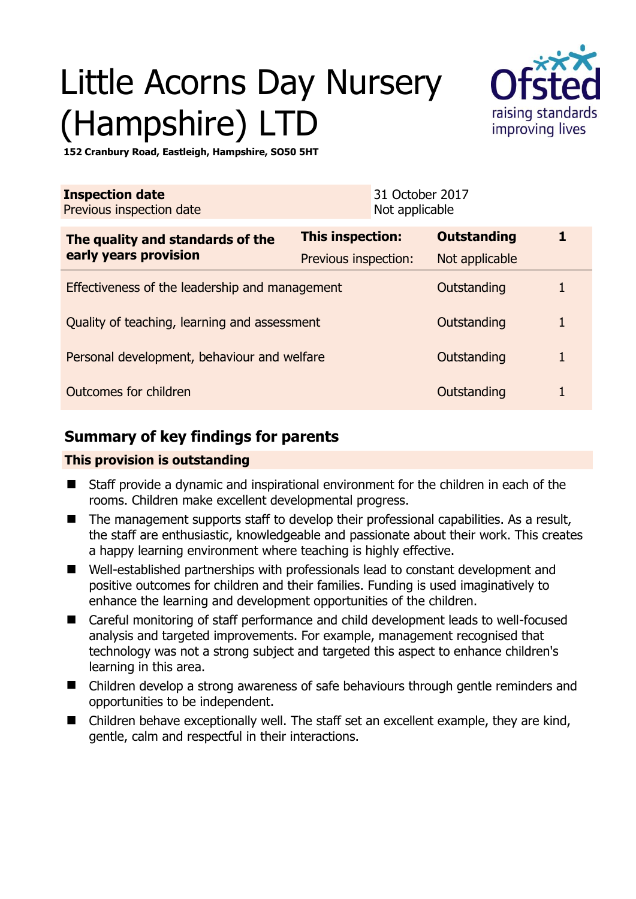# Little Acorns Day Nursery (Hampshire) LT



**152 Cranbury Road, Eastleigh, Hampshire, SO50 5HT** 

| <b>Inspection date</b><br>Previous inspection date        |                      | 31 October 2017<br>Not applicable |                    |  |
|-----------------------------------------------------------|----------------------|-----------------------------------|--------------------|--|
| The quality and standards of the<br>early years provision | This inspection:     |                                   | <b>Outstanding</b> |  |
|                                                           | Previous inspection: |                                   | Not applicable     |  |
| Effectiveness of the leadership and management            |                      |                                   | Outstanding        |  |
| Quality of teaching, learning and assessment              |                      |                                   | Outstanding        |  |
| Personal development, behaviour and welfare               |                      |                                   | Outstanding        |  |
| Outcomes for children<br>Outstanding                      |                      |                                   |                    |  |

## **Summary of key findings for parents**

## **This provision is outstanding**

- Staff provide a dynamic and inspirational environment for the children in each of the rooms. Children make excellent developmental progress.
- The management supports staff to develop their professional capabilities. As a result, the staff are enthusiastic, knowledgeable and passionate about their work. This creates a happy learning environment where teaching is highly effective.
- Well-established partnerships with professionals lead to constant development and positive outcomes for children and their families. Funding is used imaginatively to enhance the learning and development opportunities of the children.
- Careful monitoring of staff performance and child development leads to well-focused analysis and targeted improvements. For example, management recognised that technology was not a strong subject and targeted this aspect to enhance children's learning in this area.
- Children develop a strong awareness of safe behaviours through gentle reminders and opportunities to be independent.
- Children behave exceptionally well. The staff set an excellent example, they are kind, gentle, calm and respectful in their interactions.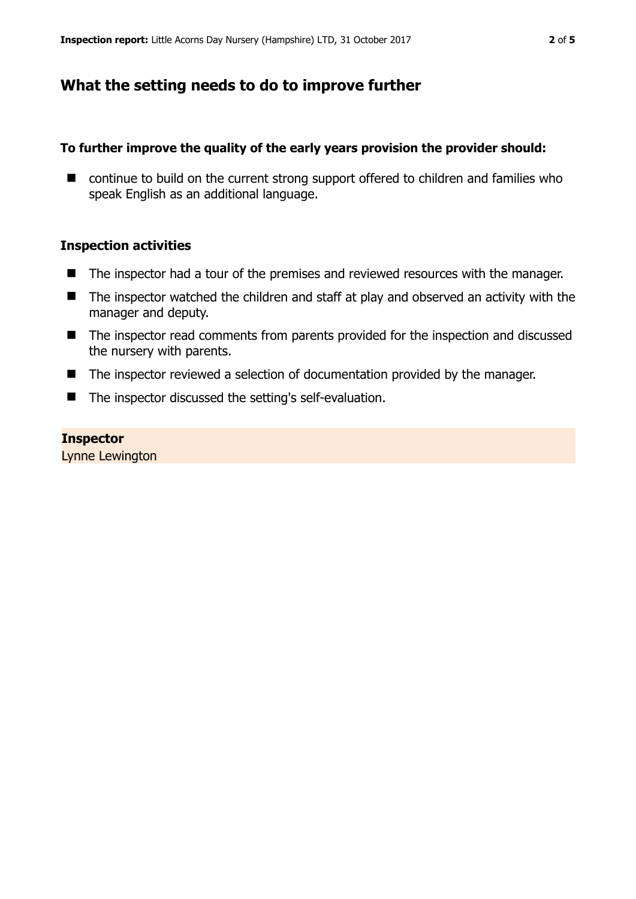## **What the setting needs to do to improve further**

#### **To further improve the quality of the early years provision the provider should:**

■ continue to build on the current strong support offered to children and families who speak English as an additional language.

#### **Inspection activities**

- The inspector had a tour of the premises and reviewed resources with the manager.
- The inspector watched the children and staff at play and observed an activity with the manager and deputy.
- The inspector read comments from parents provided for the inspection and discussed the nursery with parents.
- The inspector reviewed a selection of documentation provided by the manager.
- The inspector discussed the setting's self-evaluation.

#### **Inspector**

Lynne Lewington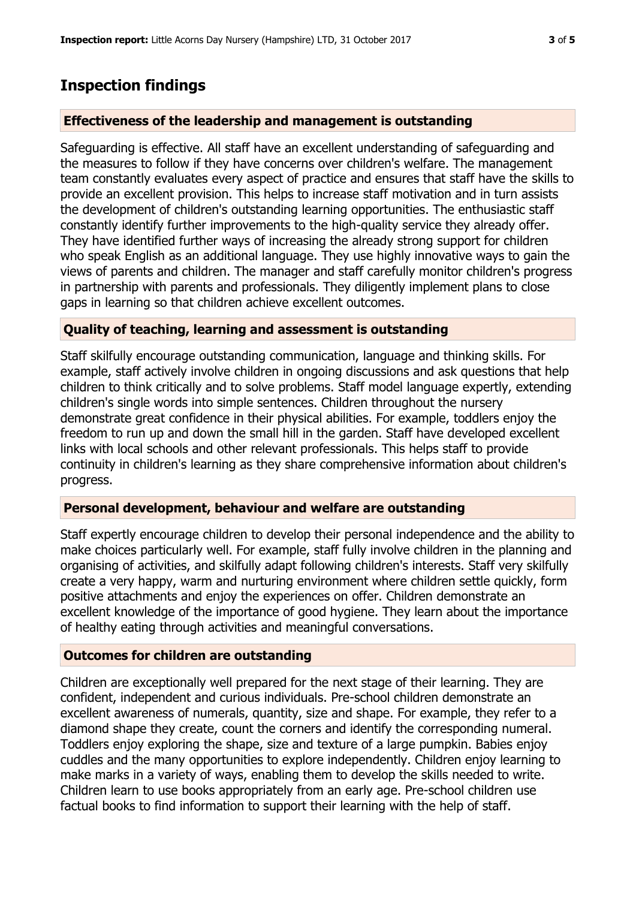# **Inspection findings**

## **Effectiveness of the leadership and management is outstanding**

Safeguarding is effective. All staff have an excellent understanding of safeguarding and the measures to follow if they have concerns over children's welfare. The management team constantly evaluates every aspect of practice and ensures that staff have the skills to provide an excellent provision. This helps to increase staff motivation and in turn assists the development of children's outstanding learning opportunities. The enthusiastic staff constantly identify further improvements to the high-quality service they already offer. They have identified further ways of increasing the already strong support for children who speak English as an additional language. They use highly innovative ways to gain the views of parents and children. The manager and staff carefully monitor children's progress in partnership with parents and professionals. They diligently implement plans to close gaps in learning so that children achieve excellent outcomes.

## **Quality of teaching, learning and assessment is outstanding**

Staff skilfully encourage outstanding communication, language and thinking skills. For example, staff actively involve children in ongoing discussions and ask questions that help children to think critically and to solve problems. Staff model language expertly, extending children's single words into simple sentences. Children throughout the nursery demonstrate great confidence in their physical abilities. For example, toddlers enjoy the freedom to run up and down the small hill in the garden. Staff have developed excellent links with local schools and other relevant professionals. This helps staff to provide continuity in children's learning as they share comprehensive information about children's progress.

## **Personal development, behaviour and welfare are outstanding**

Staff expertly encourage children to develop their personal independence and the ability to make choices particularly well. For example, staff fully involve children in the planning and organising of activities, and skilfully adapt following children's interests. Staff very skilfully create a very happy, warm and nurturing environment where children settle quickly, form positive attachments and enjoy the experiences on offer. Children demonstrate an excellent knowledge of the importance of good hygiene. They learn about the importance of healthy eating through activities and meaningful conversations.

## **Outcomes for children are outstanding**

Children are exceptionally well prepared for the next stage of their learning. They are confident, independent and curious individuals. Pre-school children demonstrate an excellent awareness of numerals, quantity, size and shape. For example, they refer to a diamond shape they create, count the corners and identify the corresponding numeral. Toddlers enjoy exploring the shape, size and texture of a large pumpkin. Babies enjoy cuddles and the many opportunities to explore independently. Children enjoy learning to make marks in a variety of ways, enabling them to develop the skills needed to write. Children learn to use books appropriately from an early age. Pre-school children use factual books to find information to support their learning with the help of staff.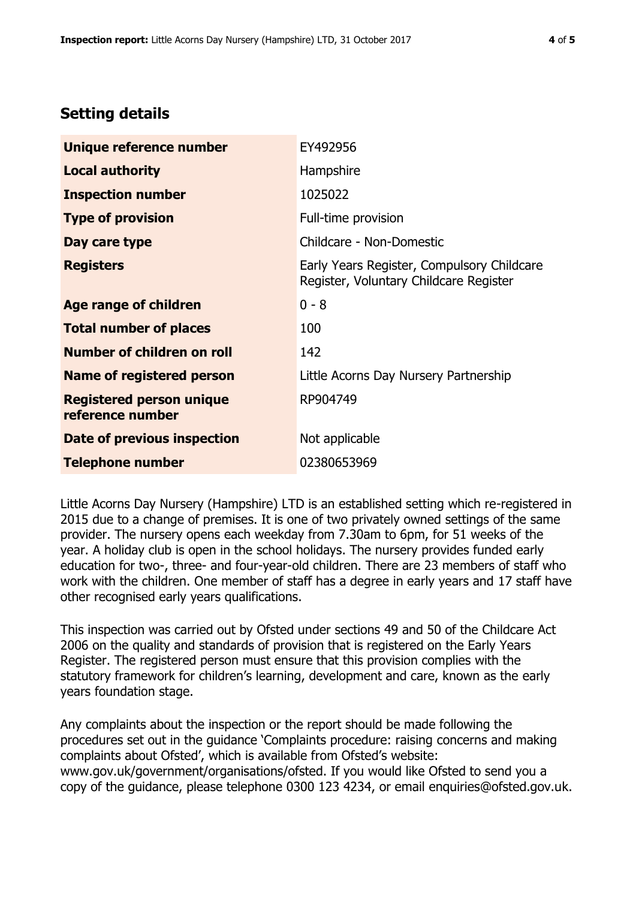# **Setting details**

| Unique reference number                             | EY492956                                                                             |  |
|-----------------------------------------------------|--------------------------------------------------------------------------------------|--|
| <b>Local authority</b>                              | Hampshire                                                                            |  |
| <b>Inspection number</b>                            | 1025022                                                                              |  |
| <b>Type of provision</b>                            | Full-time provision                                                                  |  |
| Day care type                                       | Childcare - Non-Domestic                                                             |  |
| <b>Registers</b>                                    | Early Years Register, Compulsory Childcare<br>Register, Voluntary Childcare Register |  |
| Age range of children                               | $0 - 8$                                                                              |  |
| <b>Total number of places</b>                       | 100                                                                                  |  |
| Number of children on roll                          | 142                                                                                  |  |
| Name of registered person                           | Little Acorns Day Nursery Partnership                                                |  |
| <b>Registered person unique</b><br>reference number | RP904749                                                                             |  |
| Date of previous inspection                         | Not applicable                                                                       |  |
| <b>Telephone number</b>                             | 02380653969                                                                          |  |

Little Acorns Day Nursery (Hampshire) LTD is an established setting which re-registered in 2015 due to a change of premises. It is one of two privately owned settings of the same provider. The nursery opens each weekday from 7.30am to 6pm, for 51 weeks of the year. A holiday club is open in the school holidays. The nursery provides funded early education for two-, three- and four-year-old children. There are 23 members of staff who work with the children. One member of staff has a degree in early years and 17 staff have other recognised early years qualifications.

This inspection was carried out by Ofsted under sections 49 and 50 of the Childcare Act 2006 on the quality and standards of provision that is registered on the Early Years Register. The registered person must ensure that this provision complies with the statutory framework for children's learning, development and care, known as the early years foundation stage.

Any complaints about the inspection or the report should be made following the procedures set out in the guidance 'Complaints procedure: raising concerns and making complaints about Ofsted', which is available from Ofsted's website: www.gov.uk/government/organisations/ofsted. If you would like Ofsted to send you a copy of the guidance, please telephone 0300 123 4234, or email enquiries@ofsted.gov.uk.